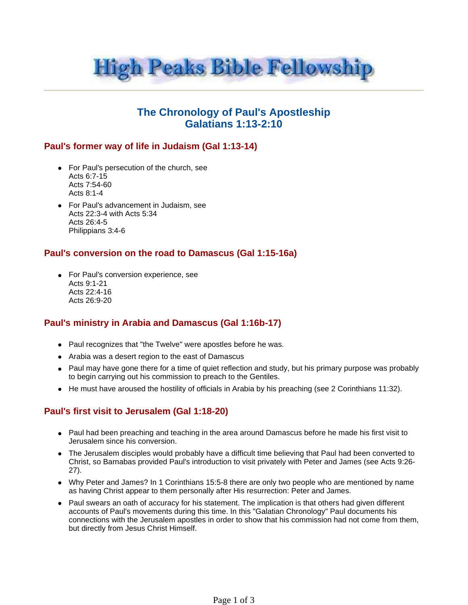

# **The Chronology of Paul's Apostleship Galatians 1:13-2:10**

#### **Paul's former way of life in Judaism (Gal 1:13-14)**

- For Paul's persecution of the church, see Acts 6:7-15 Acts 7:54-60 Acts 8:1-4
- For Paul's advancement in Judaism, see Acts 22:3-4 with Acts 5:34 Acts 26:4-5 Philippians 3:4-6

#### **Paul's conversion on the road to Damascus (Gal 1:15-16a)**

• For Paul's conversion experience, see Acts 9:1-21 Acts 22:4-16 Acts 26:9-20

#### **Paul's ministry in Arabia and Damascus (Gal 1:16b-17)**

- Paul recognizes that "the Twelve" were apostles before he was.
- Arabia was a desert region to the east of Damascus
- Paul may have gone there for a time of quiet reflection and study, but his primary purpose was probably to begin carrying out his commission to preach to the Gentiles.
- $\bullet$  He must have aroused the hostility of officials in Arabia by his preaching (see 2 Corinthians 11:32).

### **Paul's first visit to Jerusalem (Gal 1:18-20)**

- Paul had been preaching and teaching in the area around Damascus before he made his first visit to Jerusalem since his conversion.
- The Jerusalem disciples would probably have a difficult time believing that Paul had been converted to Christ, so Barnabas provided Paul's introduction to visit privately with Peter and James (see Acts 9:26- 27).
- Why Peter and James? In 1 Corinthians 15:5-8 there are only two people who are mentioned by name as having Christ appear to them personally after His resurrection: Peter and James.
- Paul swears an oath of accuracy for his statement. The implication is that others had given different accounts of Paul's movements during this time. In this "Galatian Chronology" Paul documents his connections with the Jerusalem apostles in order to show that his commission had not come from them, but directly from Jesus Christ Himself.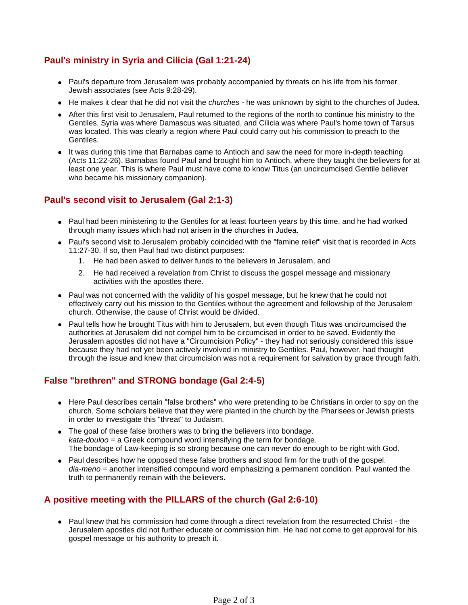## **Paul's ministry in Syria and Cilicia (Gal 1:21-24)**

- Paul's departure from Jerusalem was probably accompanied by threats on his life from his former Jewish associates (see Acts 9:28-29).
- He makes it clear that he did not visit the *churches* he was unknown by sight to the churches of Judea.
- After this first visit to Jerusalem, Paul returned to the regions of the north to continue his ministry to the Gentiles. Syria was where Damascus was situated, and Cilicia was where Paul's home town of Tarsus was located. This was clearly a region where Paul could carry out his commission to preach to the Gentiles.
- It was during this time that Barnabas came to Antioch and saw the need for more in-depth teaching (Acts 11:22-26). Barnabas found Paul and brought him to Antioch, where they taught the believers for at least one year. This is where Paul must have come to know Titus (an uncircumcised Gentile believer who became his missionary companion).

### **Paul's second visit to Jerusalem (Gal 2:1-3)**

- Paul had been ministering to the Gentiles for at least fourteen years by this time, and he had worked through many issues which had not arisen in the churches in Judea.
- Paul's second visit to Jerusalem probably coincided with the "famine relief" visit that is recorded in Acts 11:27-30. If so, then Paul had two distinct purposes:
	- 1. He had been asked to deliver funds to the believers in Jerusalem, and
	- 2. He had received a revelation from Christ to discuss the gospel message and missionary activities with the apostles there.
- Paul was not concerned with the validity of his gospel message, but he knew that he could not effectively carry out his mission to the Gentiles without the agreement and fellowship of the Jerusalem church. Otherwise, the cause of Christ would be divided.
- Paul tells how he brought Titus with him to Jerusalem, but even though Titus was uncircumcised the authorities at Jerusalem did not compel him to be circumcised in order to be saved. Evidently the Jerusalem apostles did not have a "Circumcision Policy" - they had not seriously considered this issue because they had not yet been actively involved in ministry to Gentiles. Paul, however, had thought through the issue and knew that circumcision was not a requirement for salvation by grace through faith.

### **False "brethren" and STRONG bondage (Gal 2:4-5)**

- Here Paul describes certain "false brothers" who were pretending to be Christians in order to spy on the church. Some scholars believe that they were planted in the church by the Pharisees or Jewish priests in order to investigate this "threat" to Judaism.
- The goal of these false brothers was to bring the believers into bondage. kata-douloo = a Greek compound word intensifying the term for bondage. The bondage of Law-keeping is so strong because one can never do enough to be right with God.
- Paul describes how he opposed these false brothers and stood firm for the truth of the gospel. dia-meno = another intensified compound word emphasizing a permanent condition. Paul wanted the truth to permanently remain with the believers.

## **A positive meeting with the PILLARS of the church (Gal 2:6-10)**

• Paul knew that his commission had come through a direct revelation from the resurrected Christ - the Jerusalem apostles did not further educate or commission him. He had not come to get approval for his gospel message or his authority to preach it.